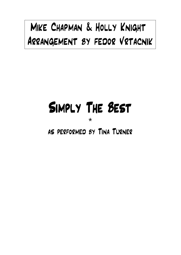## Mike Chapman & Holly Knight Arrangement by fedor Vrtacnik

## Simply The Best

\*

## as performed by Tina Turner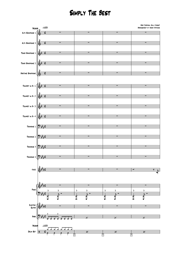## Simply The Best